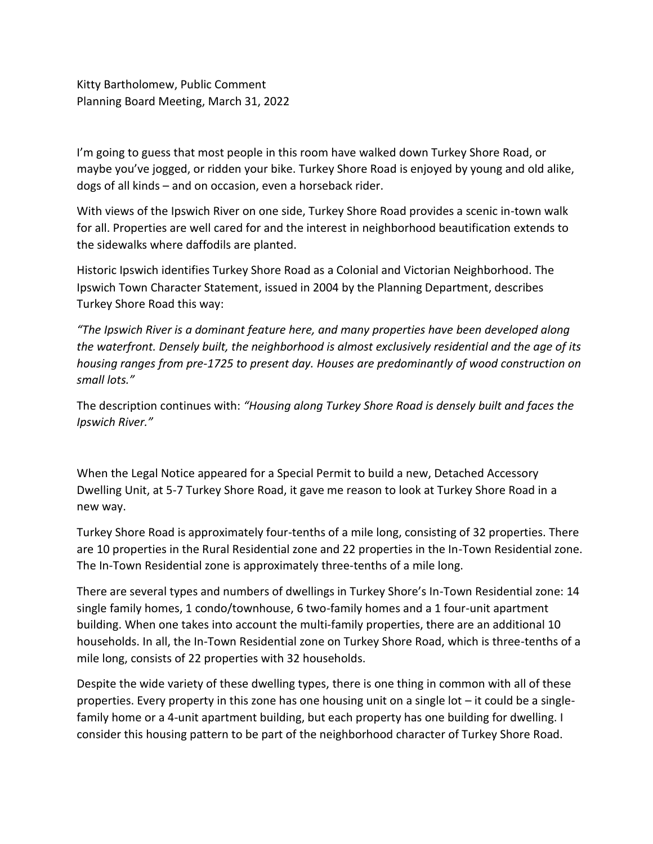Kitty Bartholomew, Public Comment Planning Board Meeting, March 31, 2022

I'm going to guess that most people in this room have walked down Turkey Shore Road, or maybe you've jogged, or ridden your bike. Turkey Shore Road is enjoyed by young and old alike, dogs of all kinds – and on occasion, even a horseback rider.

With views of the Ipswich River on one side, Turkey Shore Road provides a scenic in-town walk for all. Properties are well cared for and the interest in neighborhood beautification extends to the sidewalks where daffodils are planted.

Historic Ipswich identifies Turkey Shore Road as a Colonial and Victorian Neighborhood. The Ipswich Town Character Statement, issued in 2004 by the Planning Department, describes Turkey Shore Road this way:

*"The Ipswich River is a dominant feature here, and many properties have been developed along the waterfront. Densely built, the neighborhood is almost exclusively residential and the age of its housing ranges from pre-1725 to present day. Houses are predominantly of wood construction on small lots."*

The description continues with: *"Housing along Turkey Shore Road is densely built and faces the Ipswich River."*

When the Legal Notice appeared for a Special Permit to build a new, Detached Accessory Dwelling Unit, at 5-7 Turkey Shore Road, it gave me reason to look at Turkey Shore Road in a new way.

Turkey Shore Road is approximately four-tenths of a mile long, consisting of 32 properties. There are 10 properties in the Rural Residential zone and 22 properties in the In-Town Residential zone. The In-Town Residential zone is approximately three-tenths of a mile long.

There are several types and numbers of dwellings in Turkey Shore's In-Town Residential zone: 14 single family homes, 1 condo/townhouse, 6 two-family homes and a 1 four-unit apartment building. When one takes into account the multi-family properties, there are an additional 10 households. In all, the In-Town Residential zone on Turkey Shore Road, which is three-tenths of a mile long, consists of 22 properties with 32 households.

Despite the wide variety of these dwelling types, there is one thing in common with all of these properties. Every property in this zone has one housing unit on a single lot – it could be a singlefamily home or a 4-unit apartment building, but each property has one building for dwelling. I consider this housing pattern to be part of the neighborhood character of Turkey Shore Road.